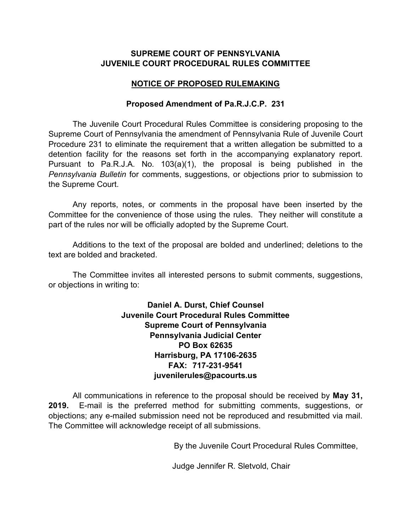# **SUPREME COURT OF PENNSYLVANIA JUVENILE COURT PROCEDURAL RULES COMMITTEE**

# **NOTICE OF PROPOSED RULEMAKING**

### **Proposed Amendment of Pa.R.J.C.P. 231**

The Juvenile Court Procedural Rules Committee is considering proposing to the Supreme Court of Pennsylvania the amendment of Pennsylvania Rule of Juvenile Court Procedure 231 to eliminate the requirement that a written allegation be submitted to a detention facility for the reasons set forth in the accompanying explanatory report. Pursuant to Pa.R.J.A. No. 103(a)(1), the proposal is being published in the *Pennsylvania Bulletin* for comments, suggestions, or objections prior to submission to the Supreme Court.

Any reports, notes, or comments in the proposal have been inserted by the Committee for the convenience of those using the rules. They neither will constitute a part of the rules nor will be officially adopted by the Supreme Court.

Additions to the text of the proposal are bolded and underlined; deletions to the text are bolded and bracketed.

The Committee invites all interested persons to submit comments, suggestions, or objections in writing to:

> **Daniel A. Durst, Chief Counsel Juvenile Court Procedural Rules Committee Supreme Court of Pennsylvania Pennsylvania Judicial Center PO Box 62635 Harrisburg, PA 17106-2635 FAX: 717-231-9541 juvenilerules@pacourts.us**

All communications in reference to the proposal should be received by **May 31, 2019.** E-mail is the preferred method for submitting comments, suggestions, or objections; any e-mailed submission need not be reproduced and resubmitted via mail. The Committee will acknowledge receipt of all submissions.

By the Juvenile Court Procedural Rules Committee,

Judge Jennifer R. Sletvold, Chair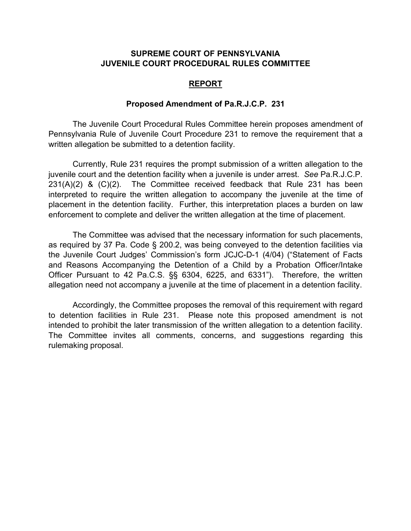## **SUPREME COURT OF PENNSYLVANIA JUVENILE COURT PROCEDURAL RULES COMMITTEE**

#### **REPORT**

#### **Proposed Amendment of Pa.R.J.C.P. 231**

The Juvenile Court Procedural Rules Committee herein proposes amendment of Pennsylvania Rule of Juvenile Court Procedure 231 to remove the requirement that a written allegation be submitted to a detention facility.

Currently, Rule 231 requires the prompt submission of a written allegation to the juvenile court and the detention facility when a juvenile is under arrest. *See* Pa.R.J.C.P.  $231(A)(2)$  &  $(C)(2)$ . The Committee received feedback that Rule 231 has been interpreted to require the written allegation to accompany the juvenile at the time of placement in the detention facility. Further, this interpretation places a burden on law enforcement to complete and deliver the written allegation at the time of placement.

The Committee was advised that the necessary information for such placements, as required by 37 Pa. Code § 200.2, was being conveyed to the detention facilities via the Juvenile Court Judges' Commission's form JCJC-D-1 (4/04) ("Statement of Facts and Reasons Accompanying the Detention of a Child by a Probation Officer/Intake Officer Pursuant to 42 Pa.C.S. §§ 6304, 6225, and 6331"). Therefore, the written allegation need not accompany a juvenile at the time of placement in a detention facility.

Accordingly, the Committee proposes the removal of this requirement with regard to detention facilities in Rule 231. Please note this proposed amendment is not intended to prohibit the later transmission of the written allegation to a detention facility. The Committee invites all comments, concerns, and suggestions regarding this rulemaking proposal.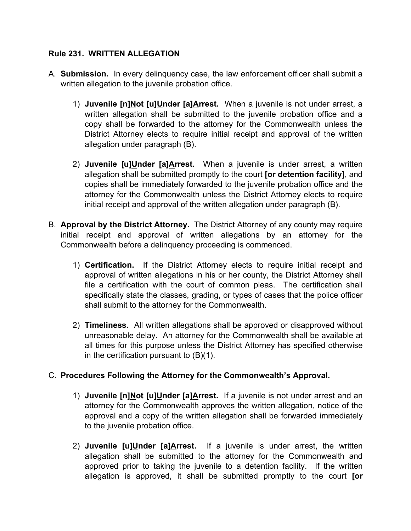# **Rule 231. WRITTEN ALLEGATION**

- A. **Submission.** In every delinquency case, the law enforcement officer shall submit a written allegation to the juvenile probation office.
	- 1) **Juvenile [n]Not [u]Under [a]Arrest.** When a juvenile is not under arrest, a written allegation shall be submitted to the juvenile probation office and a copy shall be forwarded to the attorney for the Commonwealth unless the District Attorney elects to require initial receipt and approval of the written allegation under paragraph (B).
	- 2) **Juvenile [u]Under [a]Arrest.** When a juvenile is under arrest, a written allegation shall be submitted promptly to the court **[or detention facility]**, and copies shall be immediately forwarded to the juvenile probation office and the attorney for the Commonwealth unless the District Attorney elects to require initial receipt and approval of the written allegation under paragraph (B).
- B. **Approval by the District Attorney.** The District Attorney of any county may require initial receipt and approval of written allegations by an attorney for the Commonwealth before a delinquency proceeding is commenced.
	- 1) **Certification.** If the District Attorney elects to require initial receipt and approval of written allegations in his or her county, the District Attorney shall file a certification with the court of common pleas. The certification shall specifically state the classes, grading, or types of cases that the police officer shall submit to the attorney for the Commonwealth.
	- 2) **Timeliness.** All written allegations shall be approved or disapproved without unreasonable delay. An attorney for the Commonwealth shall be available at all times for this purpose unless the District Attorney has specified otherwise in the certification pursuant to (B)(1).

# C. **Procedures Following the Attorney for the Commonwealth's Approval.**

- 1) **Juvenile [n]Not [u]Under [a]Arrest.** If a juvenile is not under arrest and an attorney for the Commonwealth approves the written allegation, notice of the approval and a copy of the written allegation shall be forwarded immediately to the juvenile probation office.
- 2) **Juvenile [u]Under [a]Arrest.** If a juvenile is under arrest, the written allegation shall be submitted to the attorney for the Commonwealth and approved prior to taking the juvenile to a detention facility. If the written allegation is approved, it shall be submitted promptly to the court **[or**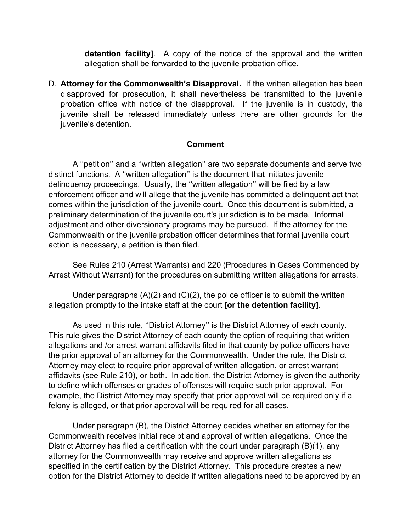**detention facility]**. A copy of the notice of the approval and the written allegation shall be forwarded to the juvenile probation office.

D. **Attorney for the Commonwealth's Disapproval.** If the written allegation has been disapproved for prosecution, it shall nevertheless be transmitted to the juvenile probation office with notice of the disapproval. If the juvenile is in custody, the juvenile shall be released immediately unless there are other grounds for the juvenile's detention.

## **Comment**

 A ''petition'' and a ''written allegation'' are two separate documents and serve two distinct functions. A ''written allegation'' is the document that initiates juvenile delinquency proceedings. Usually, the ''written allegation'' will be filed by a law enforcement officer and will allege that the juvenile has committed a delinquent act that comes within the jurisdiction of the juvenile court. Once this document is submitted, a preliminary determination of the juvenile court's jurisdiction is to be made. Informal adjustment and other diversionary programs may be pursued. If the attorney for the Commonwealth or the juvenile probation officer determines that formal juvenile court action is necessary, a petition is then filed.

See Rules 210 (Arrest Warrants) and 220 (Procedures in Cases Commenced by Arrest Without Warrant) for the procedures on submitting written allegations for arrests.

Under paragraphs  $(A)(2)$  and  $(C)(2)$ , the police officer is to submit the written allegation promptly to the intake staff at the court **[or the detention facility]**.

As used in this rule, ''District Attorney'' is the District Attorney of each county. This rule gives the District Attorney of each county the option of requiring that written allegations and /or arrest warrant affidavits filed in that county by police officers have the prior approval of an attorney for the Commonwealth. Under the rule, the District Attorney may elect to require prior approval of written allegation, or arrest warrant affidavits (see Rule 210), or both. In addition, the District Attorney is given the authority to define which offenses or grades of offenses will require such prior approval. For example, the District Attorney may specify that prior approval will be required only if a felony is alleged, or that prior approval will be required for all cases.

Under paragraph (B), the District Attorney decides whether an attorney for the Commonwealth receives initial receipt and approval of written allegations. Once the District Attorney has filed a certification with the court under paragraph (B)(1), any attorney for the Commonwealth may receive and approve written allegations as specified in the certification by the District Attorney. This procedure creates a new option for the District Attorney to decide if written allegations need to be approved by an